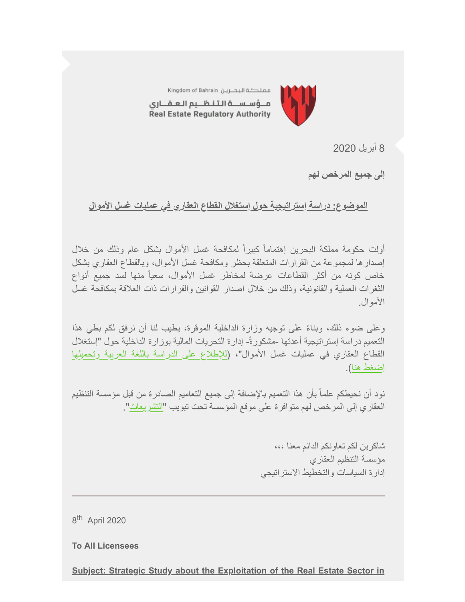

مملكة البحرين Kingdom of Bahrain مــؤسـســة الـتـنـظــيم الـعـقـــارى Real Estate Regulatory Authority

8 أبریل 2020

**إلى جمیع المرخص لھم**

**الموضوع: دراسة إستراتیجیة حول إستغلال القطاع العقاري في عملیات غسل الأموال**

أولت حكومة مملكة البحرین إھتماماً كبیراً لمكافحة غسل الأموال بشكل عام وذلك من خلال إصدارھا لمجموعة من القرارات المتعلقة بحظر ومكافحة غسل الأموال، وبالقطاع العقاري بشكل خاص كونھ من أكثر القطاعات عرضة لمخاطر غسل الأموال، سعیاً منھا لسد جمیع أنواع الثغرات العملیة والقانونیة، وذلك من خلال اصدار القوانین والقرارات ذات العلاقة بمكافحة غسل الأموال.

ً وعلى ضوء ذلك، وبناء على توجیھ وزارة الداخلیة الموقرة، یطیب لنا أن نرفق لكم بطي ھذا التعمیم دراسة إستراتیجیة أعدتھا -مشكورة-ً إدارة التحریات المالیة بوزارة الداخلیة حول "إستغلال [القطاع العقاري في عملیات غسل الأموال"، \(للإطلاع على الدراسة باللغة العربیة وتحمیلھا](https://www.rera.gov.bh/Media/downloads/mailchimp/Study%20by%20MOI-%20Money%20Laundering%20in%20the%20Real%20Estate%20Sector-29032020-AR.pdf?utm_source=Mailing+List+30-07-2019&utm_campaign=c402a29fd7-CAMPAIGN_GULF+PROPERTY_SHOW_COPY_01&utm_medium=email&utm_term=0_ad04eb0035-c402a29fd7-%5BLIST_EMAIL_ID%5D&ct=t%28CAMPAIGN_GULF+PROPERTY_SHOW_COPY_01%29) إضغط ھنا).

نود أن نحیطكم علماً بأن ھذا التعمیم بالإضافة إلى جمیع التعامیم الصادرة من قبل مؤسسة التنظیم العقاري إلى المرخص لھم متوافرة على موقع المؤسسة تحت تبویب "[التشریعات](https://www.rera.gov.bh/category/regulations?utm_source=Mailing+List+30-07-2019&utm_campaign=c402a29fd7-CAMPAIGN_GULF+PROPERTY_SHOW_COPY_01&utm_medium=email&utm_term=0_ad04eb0035-c402a29fd7-%5BLIST_EMAIL_ID%5D&ct=t%28CAMPAIGN_GULF+PROPERTY_SHOW_COPY_01%29)".

> شاكرین لكم تعاونكم الدائم معنا ،،، مؤسسة التنظیم العقاري إدارة السیاسات والتخطیط الاستراتیجي

8<sup>th</sup> April 2020

**To All Licensees** 

**Subject: Strategic Study about the Exploitation of the Real Estate Sector in**